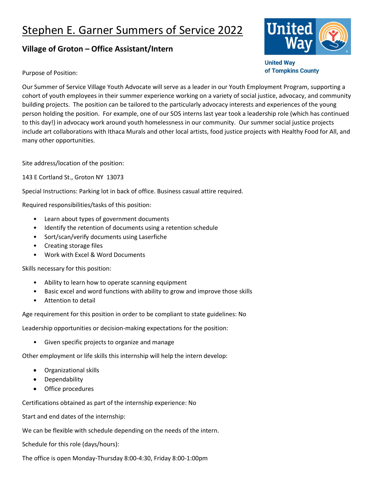## Stephen E. Garner Summers of Service 2022

## **Village of Groton – Office Assistant/Intern**



**United Way** of Tompkins County

Purpose of Position:

Our Summer of Service Village Youth Advocate will serve as a leader in our Youth Employment Program, supporting a cohort of youth employees in their summer experience working on a variety of social justice, advocacy, and community building projects. The position can be tailored to the particularly advocacy interests and experiences of the young person holding the position. For example, one of our SOS interns last year took a leadership role (which has continued to this day!) in advocacy work around youth homelessness in our community. Our summer social justice projects include art collaborations with Ithaca Murals and other local artists, food justice projects with Healthy Food for All, and many other opportunities.

Site address/location of the position:

143 E Cortland St., Groton NY 13073

Special Instructions: Parking lot in back of office. Business casual attire required.

Required responsibilities/tasks of this position:

- Learn about types of government documents
- Identify the retention of documents using a retention schedule
- Sort/scan/verify documents using Laserfiche
- Creating storage files
- Work with Excel & Word Documents

Skills necessary for this position:

- Ability to learn how to operate scanning equipment
- Basic excel and word functions with ability to grow and improve those skills
- Attention to detail

Age requirement for this position in order to be compliant to state guidelines: No

Leadership opportunities or decision-making expectations for the position:

• Given specific projects to organize and manage

Other employment or life skills this internship will help the intern develop:

- Organizational skills
- Dependability
- Office procedures

Certifications obtained as part of the internship experience: No

Start and end dates of the internship:

We can be flexible with schedule depending on the needs of the intern.

Schedule for this role (days/hours):

The office is open Monday-Thursday 8:00-4:30, Friday 8:00-1:00pm